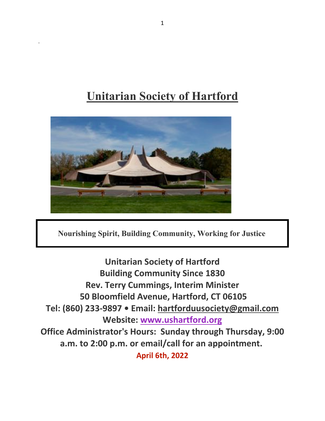# **Unitarian Society of Hartford**



.

**Nourishing Spirit, Building Community, Working for Justice**

**Unitarian Society of Hartford Building Community Since 1830 Rev. Terry Cummings, Interim Minister 50 Bloomfield Avenue, Hartford, CT 06105 Tel: (860) 233-9897 • Email: hartforduusociety@gmail.com Website: www.ushartford.org Office Administrator's Hours: Sunday through Thursday, 9:00 a.m. to 2:00 p.m. or email/call for an appointment. April 6th, 2022**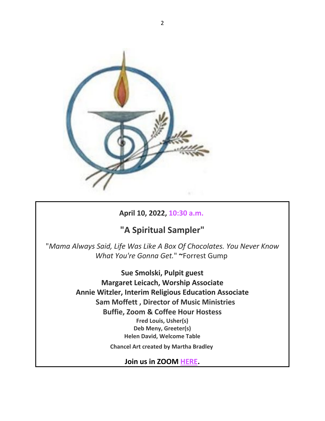

## **April 10, 2022, 10:30 a.m.**

## **"A Spiritual Sampler"**

"*Mama Always Said, Life Was Like A Box Of Chocolates. You Never Know What You're Gonna Get.*" **~**Forrest Gump

> **Sue Smolski, Pulpit guest Margaret Leicach, Worship Associate Annie Witzler, Interim Religious Education Associate Sam Moffett , Director of Music Ministries Buffie, Zoom & Coffee Hour Hostess Fred Louis, Usher(s) Deb Meny, Greeter(s) Helen David, Welcome Table Chancel Art created by Martha Bradley**

**Join us in ZOOM HERE.**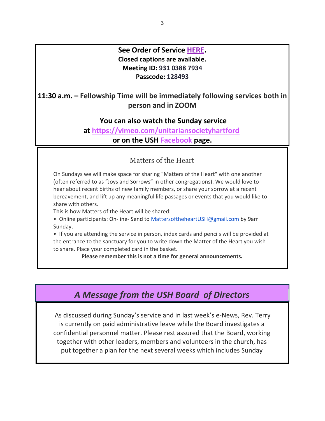## **See Order of Service HERE. Closed captions are available. Meeting ID: 931 0388 7934 Passcode: 128493**

**11:30 a.m. – Fellowship Time will be immediately following services both in person and in ZOOM**

## **You can also watch the Sunday service**

**at https://vimeo.com/unitariansocietyhartford or on the USH Facebook page.**

## Matters of the Heart

On Sundays we will make space for sharing "Matters of the Heart" with one another (often referred to as "Joys and Sorrows" in other congregations). We would love to hear about recent births of new family members, or share your sorrow at a recent bereavement, and lift up any meaningful life passages or events that you would like to share with others.

This is how Matters of the Heart will be shared:

• Online participants: On-line- Send to MattersoftheheartUSH@gmail.com by 9am Sunday.

• If you are attending the service in person, index cards and pencils will be provided at the entrance to the sanctuary for you to write down the Matter of the Heart you wish to share. Place your completed card in the basket.

**Please remember this is not a time for general announcements.**

## *A Message from the USH Board of Directors*

As discussed during Sunday's service and in last week's e-News, Rev. Terry is currently on paid administrative leave while the Board investigates a confidential personnel matter. Please rest assured that the Board, working together with other leaders, members and volunteers in the church, has put together a plan for the next several weeks which includes Sunday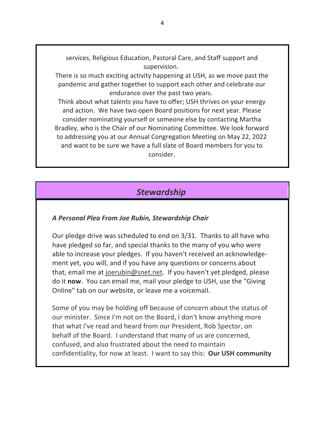services, Religious Education, Pastoral Care, and Staff support and supervision.

There is so much exciting activity happening at USH, as we move past the pandemic and gather together to support each other and celebrate our endurance over the past two years.

Think about what talents you have to offer; USH thrives on your energy and action. We have two open Board positions for next year. Please consider nominating yourself or someone else by contacting Martha Bradley, who is the Chair of our Nominating Committee. We look forward to addressing you at our Annual Congregation Meeting on May 22, 2022 and want to be sure we have a full slate of Board members for you to consider.

## *Stewardship*

#### *A Personal Plea From Joe Rubin, Stewardship Chair*

Our pledge drive was scheduled to end on 3/31. Thanks to all have who have pledged so far, and special thanks to the many of you who were able to increase your pledges. If you haven't received an acknowledgement yet, you will, and if you have any questions or concerns about that, email me at joerubin@snet.net. If you haven't yet pledged, please do it **now**. You can email me, mail your pledge to USH, use the "Giving Online" tab on our website, or leave me a voicemail.

Some of you may be holding off because of concern about the status of our minister. Since I'm not on the Board, I don't know anything more that what I've read and heard from our President, Rob Spector, on behalf of the Board. I understand that many of us are concerned, confused, and also frustrated about the need to maintain confidentiality, for now at least. I want to say this: **Our USH community**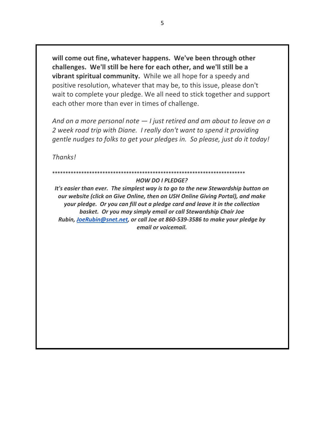**will come out fine, whatever happens. We've been through other challenges. We'll still be here for each other, and we'll still be a vibrant spiritual community.** While we all hope for a speedy and positive resolution, whatever that may be, to this issue, please don't wait to complete your pledge. We all need to stick together and support each other more than ever in times of challenge.

*And on a more personal note — I just retired and am about to leave on a 2 week road trip with Diane. I really don't want to spend it providing gentle nudges to folks to get your pledges in. So please, just do it today!*

*Thanks!*

#### \*\*\*\*\*\*\*\*\*\*\*\*\*\*\*\*\*\*\*\*\*\*\*

#### *HOW DO I PLEDGE?*

*It's easier than ever. The simplest way is to go to the new Stewardship button on our website (click on Give Online, then on USH Online Giving Portal), and make your pledge. Or you can fill out a pledge card and leave it in the collection basket. Or you may simply email or call Stewardship Chair Joe Rubin, JoeRubin@snet.net, or call Joe at 860-539-3586 to make your pledge by email or voicemail.*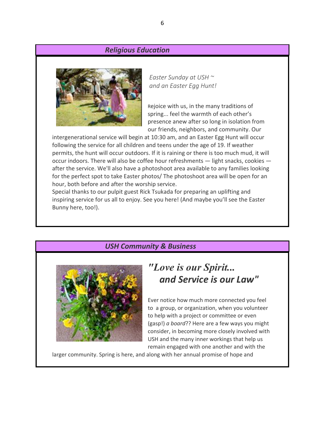#### *Religious Education*



*Easter Sunday at USH ~ and an Easter Egg Hunt!*

Rejoice with us, in the many traditions of spring... feel the warmth of each other's presence anew after so long in isolation from our friends, neighbors, and community. Our

intergenerational service will begin at 10:30 am, and an Easter Egg Hunt will occur following the service for all children and teens under the age of 19. If weather permits, the hunt will occur outdoors. If it is raining or there is too much mud, it will occur indoors. There will also be coffee hour refreshments — light snacks, cookies after the service. We'll also have a photoshoot area available to any families looking for the perfect spot to take Easter photos/ The photoshoot area will be open for an hour, both before and after the worship service.

Special thanks to our pulpit guest Rick Tsukada for preparing an uplifting and inspiring service for us all to enjoy. See you here! (And maybe you'll see the Easter Bunny here, too!).

#### *USH Community & Business*



## *"Love is our Spirit... and Service is our Law"*

Ever notice how much more connected you feel to a group, or organization, when you volunteer to help with a project or committee or even (gasp!) *a board*?? Here are a few ways you might consider, in becoming more closely involved with USH and the many inner workings that help us remain engaged with one another and with the

larger community. Spring is here, and along with her annual promise of hope and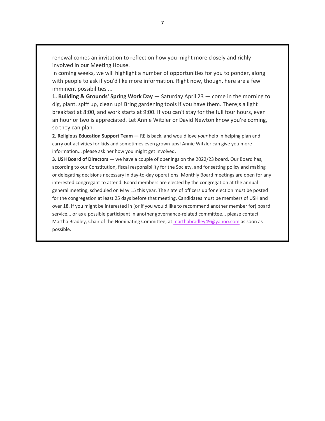renewal comes an invitation to reflect on how you might more closely and richly involved in our Meeting House.

In coming weeks, we will highlight a number of opportunities for you to ponder, along with people to ask if you'd like more information. Right now, though, here are a few imminent possibilities ...

**1. Building & Grounds' Spring Work Day** — Saturday April 23 — come in the morning to dig, plant, spiff up, clean up! Bring gardening tools if you have them. There;s a light breakfast at 8:00, and work starts at 9:00. If you can't stay for the full four hours, even an hour or two is appreciated. Let Annie Witzler or David Newton know you're coming, so they can plan.

**2. Religious Education Support Team —** RE is back, and would love *your* help in helping plan and carry out activities for kids and sometimes even grown-ups! Annie Witzler can give you more information... please ask her how you might get involved.

**3. USH Board of Directors —** we have a couple of openings on the 2022/23 board. Our Board has, according to our Constitution, fiscal responsibility for the Society, and for setting policy and making or delegating decisions necessary in day-to-day operations. Monthly Board meetings are open for any interested congregant to attend. Board members are elected by the congregation at the annual general meeting, scheduled on May 15 this year. The slate of officers up for election must be posted for the congregation at least 25 days before that meeting. Candidates must be members of USH and over 18. If you might be interested in (or if you would like to recommend another member for) board service... or as a possible participant in another governance-related committee... please contact Martha Bradley, Chair of the Nominating Committee, at marthabradley49@yahoo.com as soon as possible.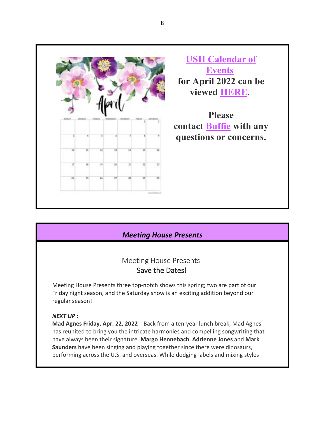

**USH Calendar of Events for April 2022 can be viewed HERE.**

**Please contact Buffie with any questions or concerns.**

## *Meeting House Presents*

## Meeting House Presents

### Save the Dates!

Meeting House Presents three top-notch shows this spring; two are part of our Friday night season, and the Saturday show is an exciting addition beyond our regular season!

#### *NEXT UP :*

**Mad Agnes Friday, Apr. 22, 2022** Back from a ten-year lunch break, Mad Agnes has reunited to bring you the intricate harmonies and compelling songwriting that have always been their signature. **Margo Hennebach**, **Adrienne Jones** and **Mark Saunders** have been singing and playing together since there were dinosaurs, performing across the U.S. and overseas. While dodging labels and mixing styles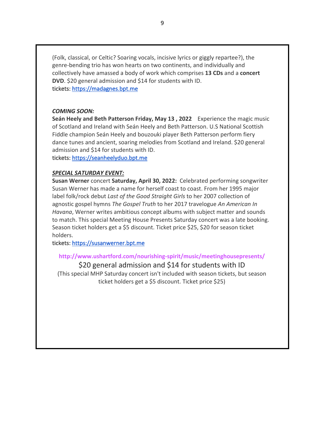(Folk, classical, or Celtic? Soaring vocals, incisive lyrics or giggly repartee?), the genre-bending trio has won hearts on two continents, and individually and collectively have amassed a body of work which comprises **13 CDs** and a **concert DVD**. \$20 general admission and \$14 for students with ID. tickets: https://madagnes.bpt.me

#### *COMING SOON:*

**Seán Heely and Beth Patterson Friday, May 13 , 2022** Experience the magic music of Scotland and Ireland with Seán Heely and Beth Patterson. U.S National Scottish Fiddle champion Seán Heely and bouzouki player Beth Patterson perform fiery dance tunes and ancient, soaring melodies from Scotland and Ireland. \$20 general admission and \$14 for students with ID.

tickets: https://seanheelyduo.bpt.me

#### *SPECIAL SATURDAY EVENT:*

**Susan Werner** concert **Saturday, April 30, 2022:** Celebrated performing songwriter Susan Werner has made a name for herself coast to coast. From her 1995 major label folk/rock debut *Last of the Good Straight Girls* to her 2007 collection of agnostic gospel hymns *The Gospel Truth* to her 2017 travelogue *An American In Havana*, Werner writes ambitious concept albums with subject matter and sounds to match. This special Meeting House Presents Saturday concert was a late booking. Season ticket holders get a \$5 discount. Ticket price \$25, \$20 for season ticket holders.

tickets: https://susanwerner.bpt.me

#### **http://www.ushartford.com/nourishing-spirit/music/meetinghousepresents/**

\$20 general admission and \$14 for students with ID (This special MHP Saturday concert isn't included with season tickets, but season ticket holders get a \$5 discount. Ticket price \$25)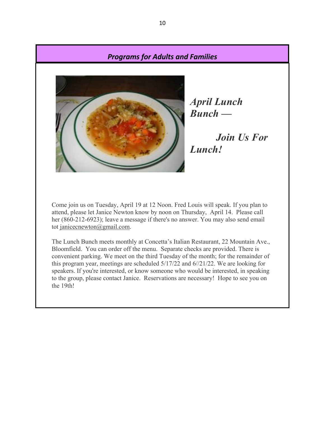### *Programs for Adults and Families*



*April Lunch Bunch —*

*Join Us For Lunch!*

Come join us on Tuesday, April 19 at 12 Noon. Fred Louis will speak. If you plan to attend, please let Janice Newton know by noon on Thursday, April 14. Please call her (860-212-6923); leave a message if there's no answer. You may also send email tot janicecnewton@gmail.com.

The Lunch Bunch meets monthly at Concetta's Italian Restaurant, 22 Mountain Ave., Bloomfield. You can order off the menu. Separate checks are provided. There is convenient parking. We meet on the third Tuesday of the month; for the remainder of this program year, meetings are scheduled 5/17/22 and 6//21/22. We are looking for speakers. If you're interested, or know someone who would be interested, in speaking to the group, please contact Janice. Reservations are necessary! Hope to see you on the 19th!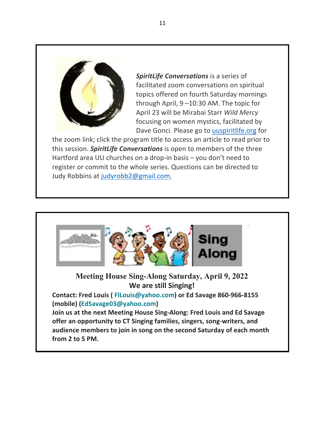

*SpiritLife Conversations* is a series of facilitated zoom conversations on spiritual topics offered on fourth Saturday mornings through April, 9 –10:30 AM. The topic for April 23 will be Mirabai Starr *Wild Mercy* focusing on women mystics, facilitated by Dave Gonci. Please go to uuspiritlife.org for

the zoom link; click the program title to access an article to read prior to this session. *SpiritLife Conversations* is open to members of the three Hartford area UU churches on a drop-in basis – you don't need to register or commit to the whole series. Questions can be directed to Judy Robbins at judyrobb2@gmail.com.



**Meeting House Sing-Along Saturday, April 9, 2022 We are still Singing!**

**Contact: Fred Louis ( FlLouis@yahoo.com) or Ed Savage 860-966-8155 (mobile) (EdSavage03@yahoo.com)**

**Join us at the next Meeting House Sing-Along: Fred Louis and Ed Savage offer an opportunity to CT Singing families, singers, song-writers, and audience members to join in song on the second Saturday of each month from 2 to 5 PM.**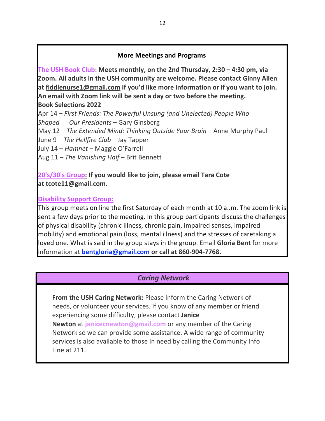### **More Meetings and Programs**

**The USH Book Club: Meets monthly, on the 2nd Thursday, 2:30 – 4:30 pm, via Zoom. All adults in the USH community are welcome. Please contact Ginny Allen at fiddlenurse1@gmail.com if you'd like more information or if you want to join. An email with Zoom link will be sent a day or two before the meeting. Book Selections 2022**

Apr 14 – *First Friends: The Powerful Unsung (and Unelected) People Who Shaped Our Presidents* – Gary Ginsberg May 12 – *The Extended Mind: Thinking Outside Your Brain* – Anne Murphy Paul June 9 – *The Hellfire Club* – Jay Tapper July 14 – *Hamnet* – Maggie O'Farrell Aug 11 – *The Vanishing Half* – Brit Bennett

## **20's/30's Group: If you would like to join, please email Tara Cote at tcote11@gmail.com.**

### **Disability Support Group:**

This group meets on line the first Saturday of each month at 10 a..m. The zoom link is sent a few days prior to the meeting. In this group participants discuss the challenges of physical disability (chronic illness, chronic pain, impaired senses, impaired mobility) and emotional pain (loss, mental illness) and the stresses of caretaking a loved one. What is said in the group stays in the group. Email **Gloria Bent** for more information at **bentgloria@gmail.com or call at 860-904-7768.**

## *Caring Network*

**From the USH Caring Network:** Please inform the Caring Network of needs, or volunteer your services. If you know of any member or friend experiencing some difficulty, please contact **Janice Newton** at **janicecnewton@gmail.com** or any member of the Caring Network so we can provide some assistance. A wide range of community services is also available to those in need by calling the Community Info Line at 211.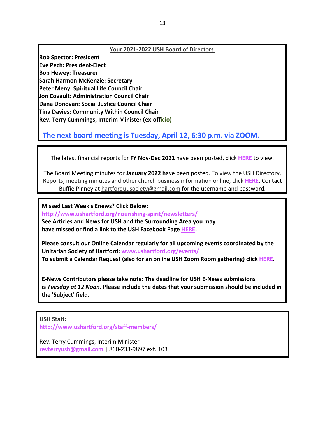#### **Your 2021-2022 USH Board of Directors**

**Rob Spector: President Eve Pech: President-Elect Bob Hewey: Treasurer Sarah Harmon McKenzie: Secretary Peter Meny: Spiritual Life Council Chair Jon Covault: Administration Council Chair Dana Donovan: Social Justice Council Chair Tina Davies: Community Within Council Chair Rev. Terry Cummings, Interim Minister (ex-officio)**

## **The next board meeting is Tuesday, April 12, 6:30 p.m. via ZOOM.**

The latest financial reports for **FY Nov-Dec 2021** have been posted, click **HERE** to view.

The Board Meeting minutes for **January 2022 h**ave been posted. To view the USH Directory, Reports, meeting minutes and other church business information online, click **HERE**. Contact Buffie Pinney at hartforduusociety@gmail.com for the username and password.

**Missed Last Week's Enews? Click Below: http://www.ushartford.org/nourishing-spirit/newsletters/ See Articles and News for USH and the Surrounding Area you may have missed or find a link to the USH Facebook Page HERE.**

**Please consult our Online Calendar regularly for all upcoming events coordinated by the Unitarian Society of Hartford: www.ushartford.org/events/ To submit a Calendar Request (also for an online USH Zoom Room gathering) click HERE.**

**E-News Contributors please take note: The deadline for USH E-News submissions is** *Tuesday at 12 Noon***. Please include the dates that your submission should be included in the 'Subject' field.**

#### **USH Staff:**

**http://www.ushartford.org/staff-members/**

Rev. Terry Cummings, Interim Minister **revterryush@gmail.com** | 860-233-9897 ext. 103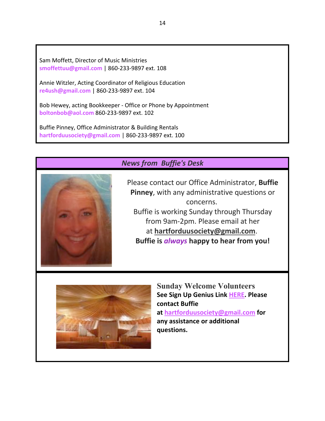Sam Moffett, Director of Music Ministries **smoffettuu@gmail.com** | 860-233-9897 ext. 108

Annie Witzler, Acting Coordinator of Religious Education **re4ush@gmail.com** | 860-233-9897 ext. 104

Bob Hewey, acting Bookkeeper - Office or Phone by Appointment **boltonbob@aol.com** 860-233-9897 ext. 102

Buffie Pinney, Office Administrator & Building Rentals **hartforduusociety@gmail.com** | 860-233-9897 ext. 100

## *News from Buffie's Desk*



Please contact our Office Administrator, **Buffie Pinney**, with any administrative questions or concerns. Buffie is working Sunday through Thursday from 9am-2pm. Please email at her at **hartforduusociety@gmail.com**. **Buffie is** *always* **happy to hear from you!**



**Sunday Welcome Volunteers See Sign Up Genius Link HERE. Please contact Buffie at hartforduusociety@gmail.com for any assistance or additional questions.**